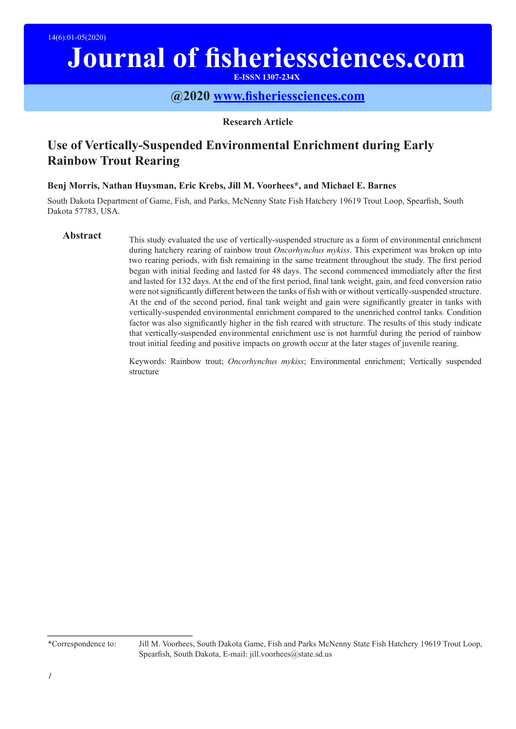# **Journal of fisheriessciences.com**

**E-ISSN 1307-234X**

## **@2020 www.fisheriessciences.com**

#### **Research Article**

# **Use of Vertically-Suspended Environmental Enrichment during Early Rainbow Trout Rearing**

### **Benj Morris, Nathan Huysman, Eric Krebs, Jill M. Voorhees\*, and Michael E. Barnes**

South Dakota Department of Game, Fish, and Parks, McNenny State Fish Hatchery 19619 Trout Loop, Spearfish, South Dakota 57783, USA.

Abstract This study evaluated the use of vertically-suspended structure as a form of environmental enrichment during hatchery rearing of rainbow trout *Oncorhynchus mykiss*. This experiment was broken up into two rearing periods, with fish remaining in the same treatment throughout the study. The first period began with initial feeding and lasted for 48 days. The second commenced immediately after the first and lasted for 132 days. At the end of the first period, final tank weight, gain, and feed conversion ratio were not significantly different between the tanks of fish with or without vertically-suspended structure. At the end of the second period, final tank weight and gain were significantly greater in tanks with vertically-suspended environmental enrichment compared to the unenriched control tanks. Condition factor was also significantly higher in the fish reared with structure. The results of this study indicate that vertically-suspended environmental enrichment use is not harmful during the period of rainbow trout initial feeding and positive impacts on growth occur at the later stages of juvenile rearing.

> Keywords: Rainbow trout; *Oncorhynchus mykiss*; Environmental enrichment; Vertically suspended structure

<sup>\*</sup>Correspondence to: Jill M. Voorhees, South Dakota Game, Fish and Parks McNenny State Fish Hatchery 19619 Trout Loop, Spearfish, South Dakota, E-mail: jill.voorhees@state.sd.us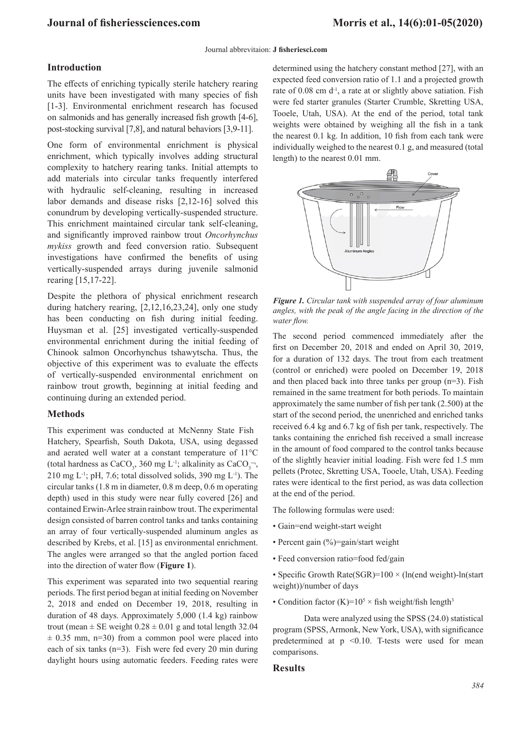#### **Journal of fisheriessciences.com Morris et al., 14(6):01-05(2020)**

#### Journal abbrevitaion: **J fisheriesci.com**

#### **Introduction**

The effects of enriching typically sterile hatchery rearing units have been investigated with many species of fish [1-3]. Environmental enrichment research has focused on salmonids and has generally increased fish growth [4-6], post-stocking survival [7,8], and natural behaviors [3,9-11].

One form of environmental enrichment is physical enrichment, which typically involves adding structural complexity to hatchery rearing tanks. Initial attempts to add materials into circular tanks frequently interfered with hydraulic self-cleaning, resulting in increased labor demands and disease risks [2,12-16] solved this conundrum by developing vertically-suspended structure. This enrichment maintained circular tank self-cleaning, and significantly improved rainbow trout *Oncorhynchus mykiss* growth and feed conversion ratio. Subsequent investigations have confirmed the benefits of using vertically-suspended arrays during juvenile salmonid rearing [15,17-22].

Despite the plethora of physical enrichment research during hatchery rearing, [2,12,16,23,24], only one study has been conducting on fish during initial feeding. Huysman et al. [25] investigated vertically-suspended environmental enrichment during the initial feeding of Chinook salmon Oncorhynchus tshawytscha. Thus, the objective of this experiment was to evaluate the effects of vertically-suspended environmental enrichment on rainbow trout growth, beginning at initial feeding and continuing during an extended period.

#### **Methods**

This experiment was conducted at McNenny State Fish Hatchery, Spearfish, South Dakota, USA, using degassed and aerated well water at a constant temperature of 11°C (total hardness as CaCO<sub>3</sub>, 360 mg L<sup>-1</sup>; alkalinity as CaCO<sub>3</sub><sup>-</sup>, 210 mg L<sup>-1</sup>; pH, 7.6; total dissolved solids, 390 mg L<sup>-1</sup>). The circular tanks (1.8 m in diameter, 0.8 m deep, 0.6 m operating depth) used in this study were near fully covered [26] and contained Erwin-Arlee strain rainbow trout. The experimental design consisted of barren control tanks and tanks containing an array of four vertically-suspended aluminum angles as described by Krebs, et al. [15] as environmental enrichment. The angles were arranged so that the angled portion faced into the direction of water flow (**Figure 1**).

This experiment was separated into two sequential rearing periods. The first period began at initial feeding on November 2, 2018 and ended on December 19, 2018, resulting in duration of 48 days. Approximately 5,000 (1.4 kg) rainbow trout (mean  $\pm$  SE weight  $0.28 \pm 0.01$  g and total length 32.04  $\pm$  0.35 mm, n=30) from a common pool were placed into each of six tanks (n=3). Fish were fed every 20 min during daylight hours using automatic feeders. Feeding rates were determined using the hatchery constant method [27], with an expected feed conversion ratio of 1.1 and a projected growth rate of 0.08 cm d<sup>-1</sup>, a rate at or slightly above satiation. Fish were fed starter granules (Starter Crumble, Skretting USA, Tooele, Utah, USA). At the end of the period, total tank weights were obtained by weighing all the fish in a tank the nearest 0.1 kg. In addition, 10 fish from each tank were individually weighed to the nearest 0.1 g, and measured (total length) to the nearest 0.01 mm.



*Figure 1. Circular tank with suspended array of four aluminum angles, with the peak of the angle facing in the direction of the water flow.*

The second period commenced immediately after the first on December 20, 2018 and ended on April 30, 2019, for a duration of 132 days. The trout from each treatment (control or enriched) were pooled on December 19, 2018 and then placed back into three tanks per group  $(n=3)$ . Fish remained in the same treatment for both periods. To maintain approximately the same number of fish per tank (2.500) at the start of the second period, the unenriched and enriched tanks received 6.4 kg and 6.7 kg of fish per tank, respectively. The tanks containing the enriched fish received a small increase in the amount of food compared to the control tanks because of the slightly heavier initial loading. Fish were fed 1.5 mm pellets (Protec, Skretting USA, Tooele, Utah, USA). Feeding rates were identical to the first period, as was data collection at the end of the period.

The following formulas were used:

- Gain=end weight-start weight
- Percent gain (%)=gain/start weight
- Feed conversion ratio=food fed/gain
- Specific Growth Rate(SGR)= $100 \times (ln(end)$  weight)- $ln(stat$ weight))/number of days
- Condition factor  $(K)=10^5 \times$  fish weight/fish length<sup>3</sup>

Data were analyzed using the SPSS (24.0) statistical program (SPSS, Armonk, New York, USA), with significance predetermined at  $p \leq 0.10$ . T-tests were used for mean comparisons.

#### **Results**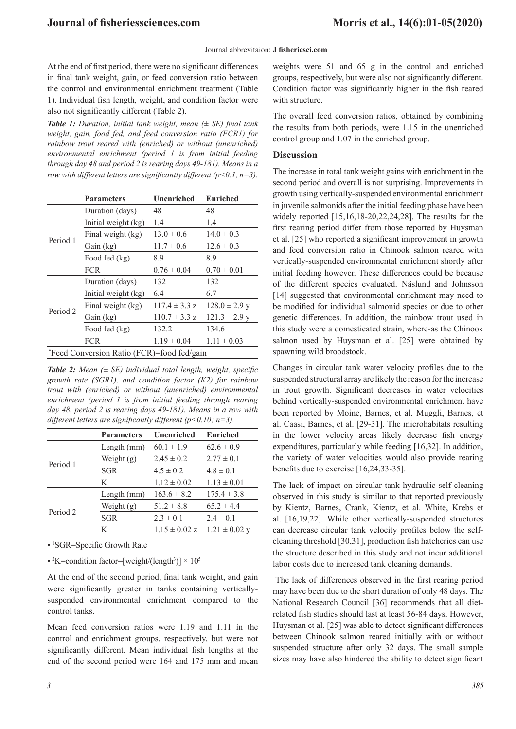#### **Journal of fisheriessciences.com Morris et al., 14(6):01-05(2020)**

#### Journal abbrevitaion: **J fisheriesci.com**

At the end of first period, there were no significant differences in final tank weight, gain, or feed conversion ratio between the control and environmental enrichment treatment (Table 1). Individual fish length, weight, and condition factor were also not significantly different (Table 2).

*Table 1: Duration, initial tank weight, mean (± SE) final tank weight, gain, food fed, and feed conversion ratio (FCR1) for rainbow trout reared with (enriched) or without (unenriched) environmental enrichment (period 1 is from initial feeding through day 48 and period 2 is rearing days 49-181). Means in a row with different letters are significantly different (p<0.1, n=3).*

|                                            | <b>Parameters</b>   | Unenriched                                                                                                                   | <b>Enriched</b>   |  |
|--------------------------------------------|---------------------|------------------------------------------------------------------------------------------------------------------------------|-------------------|--|
| Period 1                                   | Duration (days)     | 48                                                                                                                           | 48                |  |
|                                            | Initial weight (kg) | 1.4                                                                                                                          | 1.4               |  |
|                                            | Final weight (kg)   | $13.0 \pm 0.6$                                                                                                               | $14.0 \pm 0.3$    |  |
|                                            | Gain (kg)           | $11.7 \pm 0.6$<br>8.9<br>$0.76 \pm 0.04$<br>132<br>6.4<br>$117.4 \pm 3.3$ z<br>$110.7 \pm 3.3$ z<br>132.2<br>$1.19 \pm 0.04$ | $12.6 \pm 0.3$    |  |
|                                            | Food fed (kg)       |                                                                                                                              | 8.9               |  |
|                                            | <b>FCR</b>          |                                                                                                                              | $0.70 \pm 0.01$   |  |
| Period 2                                   | Duration (days)     |                                                                                                                              | 132               |  |
|                                            | Initial weight (kg) |                                                                                                                              | 6.7               |  |
|                                            | Final weight (kg)   |                                                                                                                              | $128.0 \pm 2.9$ y |  |
|                                            | Gain (kg)           |                                                                                                                              | $121.3 \pm 2.9$ y |  |
|                                            | Food fed (kg)       |                                                                                                                              | 134.6             |  |
|                                            | <b>FCR</b>          |                                                                                                                              | $1.11 \pm 0.03$   |  |
| *Feed Conversion Ratio (FCR)=food fed/gain |                     |                                                                                                                              |                   |  |

*Table 2: Mean (± SE) individual total length, weight, specific growth rate (SGR1), and condition factor (K2) for rainbow trout with (enriched) or without (unenriched) environmental enrichment (period 1 is from initial feeding through rearing day 48, period 2 is rearing days 49-181). Means in a row with different letters are significantly different (p<0.10; n=3).*

|          | <b>Parameters</b> | Unenriched                                                                                                                    | <b>Enriched</b>   |
|----------|-------------------|-------------------------------------------------------------------------------------------------------------------------------|-------------------|
|          | Length $(mm)$     | $60.1 \pm 1.9$                                                                                                                | $62.6 \pm 0.9$    |
|          | Weight $(g)$      | $2.45 \pm 0.2$<br>$4.5 \pm 0.2$<br>$1.12 \pm 0.02$<br>$163.6 \pm 8.2$<br>$51.2 \pm 8.8$<br>$2.3 \pm 0.1$<br>$1.15 \pm 0.02$ z | $2.77 \pm 0.1$    |
| Period 1 | SGR               |                                                                                                                               | $4.8 \pm 0.1$     |
|          | K                 |                                                                                                                               | $1.13 \pm 0.01$   |
|          | Length $(mm)$     |                                                                                                                               | $175.4 \pm 3.8$   |
|          | Weight $(g)$      |                                                                                                                               | $65.2 \pm 4.4$    |
| Period 2 | SGR               |                                                                                                                               | $2.4 \pm 0.1$     |
|          | K                 |                                                                                                                               | $1.21 \pm 0.02$ y |

• 1 SGR=Specific Growth Rate

• <sup>2</sup>K=condition factor=[weight/(length<sup>3</sup>)]  $\times$  10<sup>5</sup>

At the end of the second period, final tank weight, and gain were significantly greater in tanks containing verticallysuspended environmental enrichment compared to the control tanks.

Mean feed conversion ratios were 1.19 and 1.11 in the control and enrichment groups, respectively, but were not significantly different. Mean individual fish lengths at the end of the second period were 164 and 175 mm and mean

weights were 51 and 65 g in the control and enriched groups, respectively, but were also not significantly different. Condition factor was significantly higher in the fish reared with structure.

The overall feed conversion ratios, obtained by combining the results from both periods, were 1.15 in the unenriched control group and 1.07 in the enriched group.

#### **Discussion**

The increase in total tank weight gains with enrichment in the second period and overall is not surprising. Improvements in growth using vertically-suspended environmental enrichment in juvenile salmonids after the initial feeding phase have been widely reported [15,16,18-20,22,24,28]. The results for the first rearing period differ from those reported by Huysman et al. [25] who reported a significant improvement in growth and feed conversion ratio in Chinook salmon reared with vertically-suspended environmental enrichment shortly after initial feeding however. These differences could be because of the different species evaluated. Näslund and Johnsson [14] suggested that environmental enrichment may need to be modified for individual salmonid species or due to other genetic differences. In addition, the rainbow trout used in this study were a domesticated strain, where-as the Chinook salmon used by Huysman et al. [25] were obtained by spawning wild broodstock.

Changes in circular tank water velocity profiles due to the suspended structural array are likely the reason for the increase in trout growth. Significant decreases in water velocities behind vertically-suspended environmental enrichment have been reported by Moine, Barnes, et al. Muggli, Barnes, et al. Caasi, Barnes, et al. [29-31]. The microhabitats resulting in the lower velocity areas likely decrease fish energy expenditures, particularly while feeding [16,32]. In addition, the variety of water velocities would also provide rearing benefits due to exercise [16,24,33-35].

The lack of impact on circular tank hydraulic self-cleaning observed in this study is similar to that reported previously by Kientz, Barnes, Crank, Kientz, et al. White, Krebs et al. [16,19,22]. While other vertically-suspended structures can decrease circular tank velocity profiles below the selfcleaning threshold [30,31], production fish hatcheries can use the structure described in this study and not incur additional labor costs due to increased tank cleaning demands.

 The lack of differences observed in the first rearing period may have been due to the short duration of only 48 days. The National Research Council [36] recommends that all dietrelated fish studies should last at least 56-84 days. However, Huysman et al. [25] was able to detect significant differences between Chinook salmon reared initially with or without suspended structure after only 32 days. The small sample sizes may have also hindered the ability to detect significant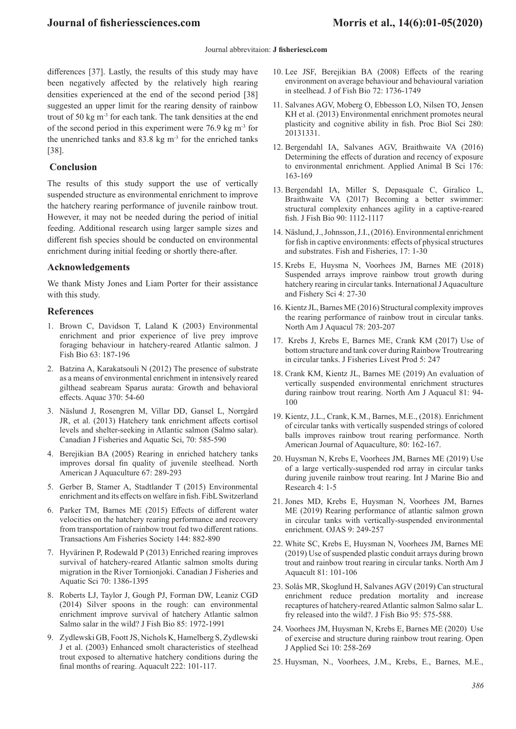#### Journal abbrevitaion: **J fisheriesci.com**

differences [37]. Lastly, the results of this study may have been negatively affected by the relatively high rearing densities experienced at the end of the second period [38] suggested an upper limit for the rearing density of rainbow trout of 50 kg m-3 for each tank. The tank densities at the end of the second period in this experiment were 76.9 kg  $m<sup>3</sup>$  for the unenriched tanks and  $83.8 \text{ kg m}^{-3}$  for the enriched tanks [38].

#### **Conclusion**

The results of this study support the use of vertically suspended structure as environmental enrichment to improve the hatchery rearing performance of juvenile rainbow trout. However, it may not be needed during the period of initial feeding. Additional research using larger sample sizes and different fish species should be conducted on environmental enrichment during initial feeding or shortly there-after.

#### **Acknowledgements**

We thank Misty Jones and Liam Porter for their assistance with this study.

#### **References**

- 1. Brown C, Davidson T, Laland K (2003) Environmental enrichment and prior experience of live prey improve foraging behaviour in hatchery‐reared Atlantic salmon. J Fish Bio 63: 187-196
- 2. Batzina A, Karakatsouli N (2012) The presence of substrate as a means of environmental enrichment in intensively reared gilthead seabream Sparus aurata: Growth and behavioral effects. Aquac 370: 54-60
- 3. Näslund J, Rosengren M, Villar DD, Gansel L, Norrgård JR, et al. (2013) Hatchery tank enrichment affects cortisol levels and shelter-seeking in Atlantic salmon (Salmo salar). Canadian J Fisheries and Aquatic Sci, 70: 585-590
- 4. Berejikian BA (2005) Rearing in enriched hatchery tanks improves dorsal fin quality of juvenile steelhead. North American J Aquaculture 67: 289-293
- 5. Gerber B, Stamer A, Stadtlander T (2015) Environmental enrichment and its effects on welfare in fish. FibL Switzerland
- 6. Parker TM, Barnes ME (2015) Effects of different water velocities on the hatchery rearing performance and recovery from transportation of rainbow trout fed two different rations. Transactions Am Fisheries Society 144: 882-890
- 7. Hyvärinen P, Rodewald P (2013) Enriched rearing improves survival of hatchery-reared Atlantic salmon smolts during migration in the River Tornionjoki. Canadian J Fisheries and Aquatic Sci 70: 1386-1395
- 8. Roberts LJ, Taylor J, Gough PJ, Forman DW, Leaniz CGD (2014) Silver spoons in the rough: can environmental enrichment improve survival of hatchery Atlantic salmon Salmo salar in the wild? J Fish Bio 85: 1972-1991
- 9. Zydlewski GB, Foott JS, Nichols K, Hamelberg S, Zydlewski J et al. (2003) Enhanced smolt characteristics of steelhead trout exposed to alternative hatchery conditions during the final months of rearing. Aquacult 222: 101-117.
- 10. Lee JSF, Berejikian BA (2008) Effects of the rearing environment on average behaviour and behavioural variation in steelhead. J of Fish Bio 72: 1736-1749
- 11. Salvanes AGV, Moberg O, Ebbesson LO, Nilsen TO, Jensen KH et al. (2013) Environmental enrichment promotes neural plasticity and cognitive ability in fish. Proc Biol Sci 280: 20131331.
- 12. Bergendahl IA, Salvanes AGV, Braithwaite VA (2016) Determining the effects of duration and recency of exposure to environmental enrichment. Applied Animal B Sci 176: 163-169
- 13. Bergendahl IA, Miller S, Depasquale C, Giralico L, Braithwaite VA (2017) Becoming a better swimmer: structural complexity enhances agility in a captive-reared fish. J Fish Bio 90: 1112-1117
- 14. Näslund, J., Johnsson, J.I., (2016). Environmental enrichment for fish in captive environments: effects of physical structures and substrates. Fish and Fisheries, 17: 1-30
- 15. Krebs E, Huysma N, Voorhees JM, Barnes ME (2018) Suspended arrays improve rainbow trout growth during hatchery rearing in circular tanks. International J Aquaculture and Fishery Sci 4: 27-30
- 16. Kientz JL, Barnes ME (2016) Structural complexity improves the rearing performance of rainbow trout in circular tanks. North Am J Aquacul 78: 203-207
- 17. Krebs J, Krebs E, Barnes ME, Crank KM (2017) Use of bottom structure and tank cover during Rainbow Troutrearing in circular tanks. J Fisheries Livest Prod 5: 247
- 18. Crank KM, Kientz JL, Barnes ME (2019) An evaluation of vertically suspended environmental enrichment structures during rainbow trout rearing. North Am J Aquacul 81: 94- 100
- 19. Kientz, J.L., Crank, K.M., Barnes, M.E., (2018). Enrichment of circular tanks with vertically suspended strings of colored balls improves rainbow trout rearing performance. North American Journal of Aquaculture, 80: 162-167.
- 20. Huysman N, Krebs E, Voorhees JM, Barnes ME (2019) Use of a large vertically-suspended rod array in circular tanks during juvenile rainbow trout rearing. Int J Marine Bio and Research 4: 1-5
- 21. Jones MD, Krebs E, Huysman N, Voorhees JM, Barnes ME (2019) Rearing performance of atlantic salmon grown in circular tanks with vertically-suspended environmental enrichment. OJAS 9: 249-257
- 22. White SC, Krebs E, Huysman N, Voorhees JM, Barnes ME (2019) Use of suspended plastic conduit arrays during brown trout and rainbow trout rearing in circular tanks. North Am J Aquacult 81: 101-106
- 23. Solås MR, Skoglund H, Salvanes AGV (2019) Can structural enrichment reduce predation mortality and increase recaptures of hatchery‐reared Atlantic salmon Salmo salar L. fry released into the wild?. J Fish Bio 95: 575-588.
- 24. Voorhees JM, Huysman N, Krebs E, Barnes ME (2020) Use of exercise and structure during rainbow trout rearing. Open J Applied Sci 10: 258-269
- 25. Huysman, N., Voorhees, J.M., Krebs, E., Barnes, M.E.,